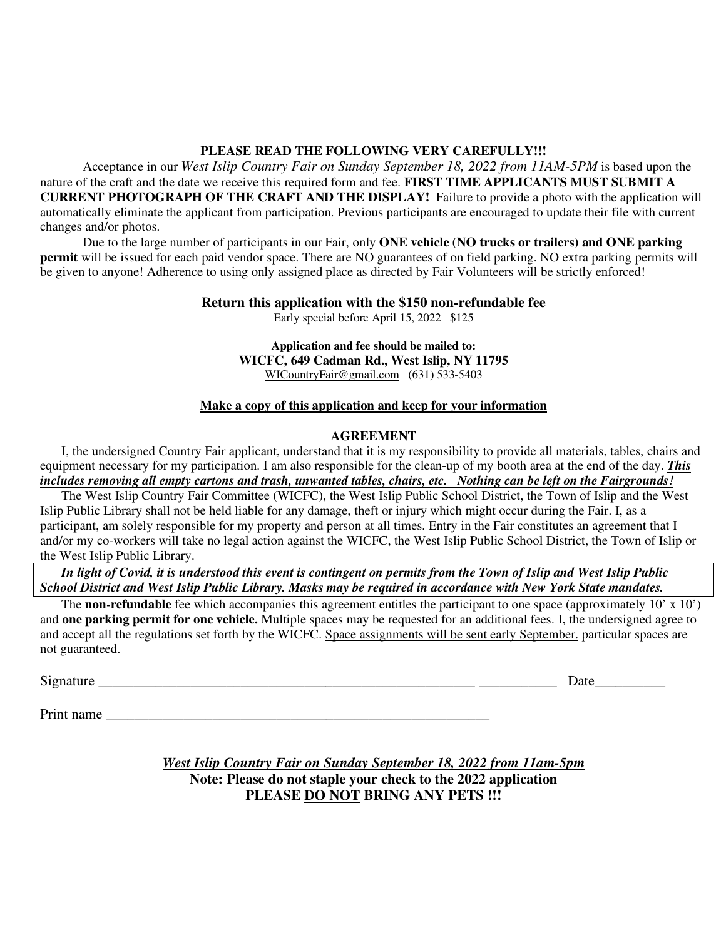#### **PLEASE READ THE FOLLOWING VERY CAREFULLY!!!**

Acceptance in our *West Islip Country Fair on Sunday September 18, 2022 from 11AM-5PM* is based upon the nature of the craft and the date we receive this required form and fee. **FIRST TIME APPLICANTS MUST SUBMIT A CURRENT PHOTOGRAPH OF THE CRAFT AND THE DISPLAY!** Failure to provide a photo with the application will automatically eliminate the applicant from participation. Previous participants are encouraged to update their file with current changes and/or photos.

Due to the large number of participants in our Fair, only **ONE vehicle (NO trucks or trailers) and ONE parking permit** will be issued for each paid vendor space. There are NO guarantees of on field parking. NO extra parking permits will be given to anyone! Adherence to using only assigned place as directed by Fair Volunteers will be strictly enforced!

### **Return this application with the \$150 non-refundable fee**

Early special before April 15, 2022 \$125

**Application and fee should be mailed to: WICFC, 649 Cadman Rd., West Islip, NY 11795**  WICountryFair@gmail.com (631) 533-5403

#### **Make a copy of this application and keep for your information**

#### **AGREEMENT**

I, the undersigned Country Fair applicant, understand that it is my responsibility to provide all materials, tables, chairs and equipment necessary for my participation. I am also responsible for the clean-up of my booth area at the end of the day. *This includes removing all empty cartons and trash, unwanted tables, chairs, etc. Nothing can be left on the Fairgrounds!* 

The West Islip Country Fair Committee (WICFC), the West Islip Public School District, the Town of Islip and the West Islip Public Library shall not be held liable for any damage, theft or injury which might occur during the Fair. I, as a participant, am solely responsible for my property and person at all times. Entry in the Fair constitutes an agreement that I and/or my co-workers will take no legal action against the WICFC, the West Islip Public School District, the Town of Islip or the West Islip Public Library.

*In light of Covid, it is understood this event is contingent on permits from the Town of Islip and West Islip Public School District and West Islip Public Library. Masks may be required in accordance with New York State mandates.*

The **non-refundable** fee which accompanies this agreement entitles the participant to one space (approximately 10' x 10') and **one parking permit for one vehicle.** Multiple spaces may be requested for an additional fees. I, the undersigned agree to and accept all the regulations set forth by the WICFC. Space assignments will be sent early September. particular spaces are not guaranteed.

Signature \_\_\_\_\_\_\_\_\_\_\_\_\_\_\_\_\_\_\_\_\_\_\_\_\_\_\_\_\_\_\_\_\_\_\_\_\_\_\_\_\_\_\_\_\_\_\_\_\_\_\_\_\_ \_\_\_\_\_\_\_\_\_\_\_ Date\_\_\_\_\_\_\_\_\_\_

Print name

*West Islip Country Fair on Sunday September 18, 2022 from 11am-5pm*  **Note: Please do not staple your check to the 2022 application PLEASE DO NOT BRING ANY PETS !!!**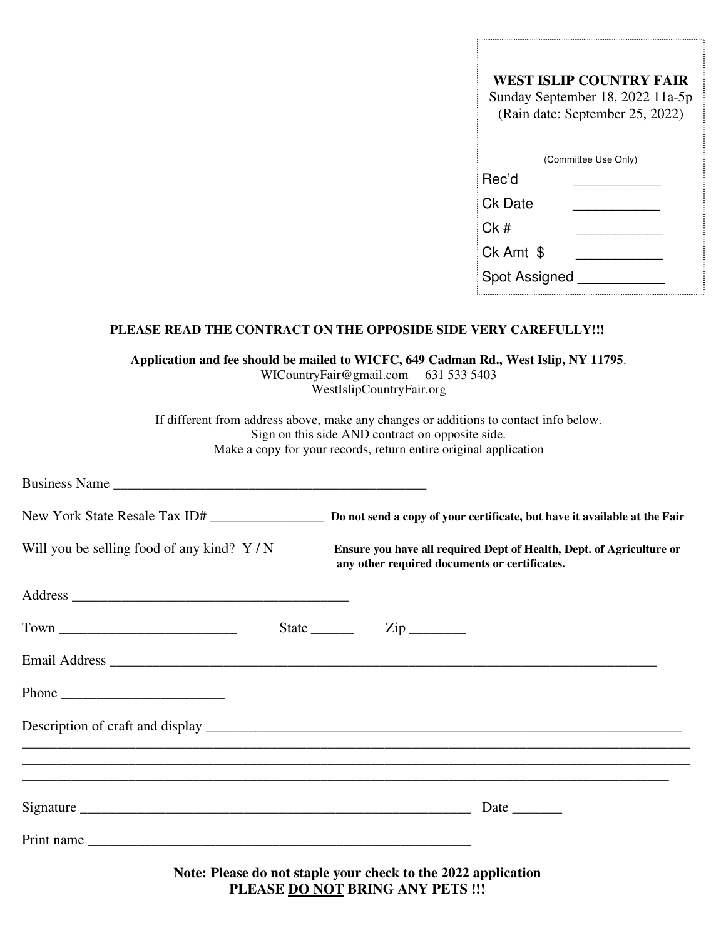| WEST ISLIP COUNTRY FAIR<br>Sunday September 18, 2022 11a-5p<br>(Rain date: September 25, 2022)<br>(Committee Use Only) |  |  |
|------------------------------------------------------------------------------------------------------------------------|--|--|
|                                                                                                                        |  |  |
|                                                                                                                        |  |  |
|                                                                                                                        |  |  |
|                                                                                                                        |  |  |
|                                                                                                                        |  |  |
|                                                                                                                        |  |  |
|                                                                                                                        |  |  |

#### **PLEASE READ THE CONTRACT ON THE OPPOSIDE SIDE VERY CAREFULLY!!!**

**Application and fee should be mailed to WICFC, 649 Cadman Rd., West Islip, NY 11795**. WICountryFair@gmail.com 631 533 5403

WestIslipCountryFair.org

If different from address above, make any changes or additions to contact info below. Sign on this side AND contract on opposite side. Make a copy for your records, return entire original application

| Business Name                                                                                                                                                                                                                                                                                                                                                                                                 |                                                                                                                       |
|---------------------------------------------------------------------------------------------------------------------------------------------------------------------------------------------------------------------------------------------------------------------------------------------------------------------------------------------------------------------------------------------------------------|-----------------------------------------------------------------------------------------------------------------------|
|                                                                                                                                                                                                                                                                                                                                                                                                               |                                                                                                                       |
| Will you be selling food of any kind? $Y/N$                                                                                                                                                                                                                                                                                                                                                                   | Ensure you have all required Dept of Health, Dept. of Agriculture or<br>any other required documents or certificates. |
|                                                                                                                                                                                                                                                                                                                                                                                                               |                                                                                                                       |
|                                                                                                                                                                                                                                                                                                                                                                                                               | State $\_\_$<br>$\overline{\mathrm{Zip}}$                                                                             |
|                                                                                                                                                                                                                                                                                                                                                                                                               |                                                                                                                       |
| Phone $\frac{1}{\sqrt{1-\frac{1}{2}}\sqrt{1-\frac{1}{2}}\sqrt{1-\frac{1}{2}}\sqrt{1-\frac{1}{2}}\sqrt{1-\frac{1}{2}}\sqrt{1-\frac{1}{2}}\sqrt{1-\frac{1}{2}}\sqrt{1-\frac{1}{2}}\sqrt{1-\frac{1}{2}}\sqrt{1-\frac{1}{2}}\sqrt{1-\frac{1}{2}}\sqrt{1-\frac{1}{2}}\sqrt{1-\frac{1}{2}}\sqrt{1-\frac{1}{2}}\sqrt{1-\frac{1}{2}}\sqrt{1-\frac{1}{2}}\sqrt{1-\frac{1}{2}}\sqrt{1-\frac{1}{2}}\sqrt{1-\frac{1}{2}}$ |                                                                                                                       |
|                                                                                                                                                                                                                                                                                                                                                                                                               |                                                                                                                       |
|                                                                                                                                                                                                                                                                                                                                                                                                               |                                                                                                                       |
|                                                                                                                                                                                                                                                                                                                                                                                                               |                                                                                                                       |
|                                                                                                                                                                                                                                                                                                                                                                                                               |                                                                                                                       |
|                                                                                                                                                                                                                                                                                                                                                                                                               | Note: Please do not staple your check to the 2022 application                                                         |

**PLEASE DO NOT BRING ANY PETS !!!**